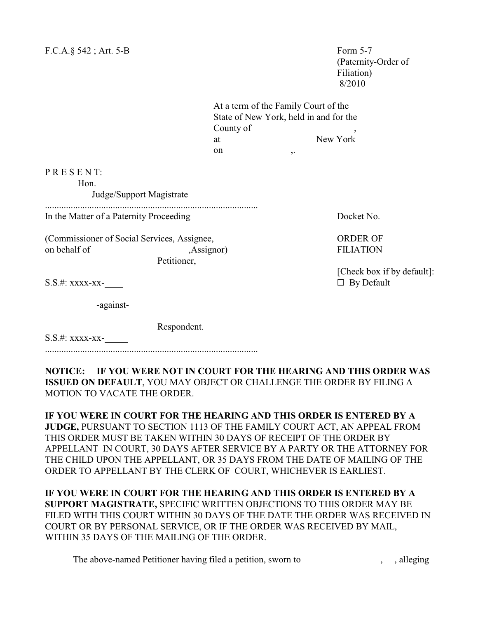| $F.C.A.\S 542 ; Art. 5-B$                                                                |                                                                                             | Form 5-7<br>(Paternity-Order of<br>Filiation)<br>8/2010 |
|------------------------------------------------------------------------------------------|---------------------------------------------------------------------------------------------|---------------------------------------------------------|
|                                                                                          | At a term of the Family Court of the<br>State of New York, held in and for the<br>County of |                                                         |
|                                                                                          | at<br>on                                                                                    | New York<br>$, \cdot$                                   |
| PRESENT:<br>Hon.<br>Judge/Support Magistrate                                             |                                                                                             |                                                         |
| In the Matter of a Paternity Proceeding                                                  |                                                                                             | Docket No.                                              |
| (Commissioner of Social Services, Assignee,<br>on behalf of<br>,Assignor)<br>Petitioner, |                                                                                             | <b>ORDER OF</b><br><b>FILIATION</b>                     |
| $S.S.$ #: xxxx-xx-                                                                       |                                                                                             | [Check box if by default]:<br>$\Box$ By Default         |
| -against-                                                                                |                                                                                             |                                                         |
| Respondent.<br>$S.S.$ #: $XXX-XX-$                                                       |                                                                                             |                                                         |

...........................................................................................

**NOTICE: IF YOU WERE NOT IN COURT FOR THE HEARING AND THIS ORDER WAS ISSUED ON DEFAULT**, YOU MAY OBJECT OR CHALLENGE THE ORDER BY FILING A MOTION TO VACATE THE ORDER.

**IF YOU WERE IN COURT FOR THE HEARING AND THIS ORDER IS ENTERED BY A JUDGE,** PURSUANT TO SECTION 1113 OF THE FAMILY COURT ACT, AN APPEAL FROM THIS ORDER MUST BE TAKEN WITHIN 30 DAYS OF RECEIPT OF THE ORDER BY APPELLANT IN COURT, 30 DAYS AFTER SERVICE BY A PARTY OR THE ATTORNEY FOR THE CHILD UPON THE APPELLANT, OR 35 DAYS FROM THE DATE OF MAILING OF THE ORDER TO APPELLANT BY THE CLERK OF COURT, WHICHEVER IS EARLIEST.

**IF YOU WERE IN COURT FOR THE HEARING AND THIS ORDER IS ENTERED BY A SUPPORT MAGISTRATE,** SPECIFIC WRITTEN OBJECTIONS TO THIS ORDER MAY BE FILED WITH THIS COURT WITHIN 30 DAYS OF THE DATE THE ORDER WAS RECEIVED IN COURT OR BY PERSONAL SERVICE, OR IF THE ORDER WAS RECEIVED BY MAIL, WITHIN 35 DAYS OF THE MAILING OF THE ORDER.

The above-named Petitioner having filed a petition, sworn to , , , alleging